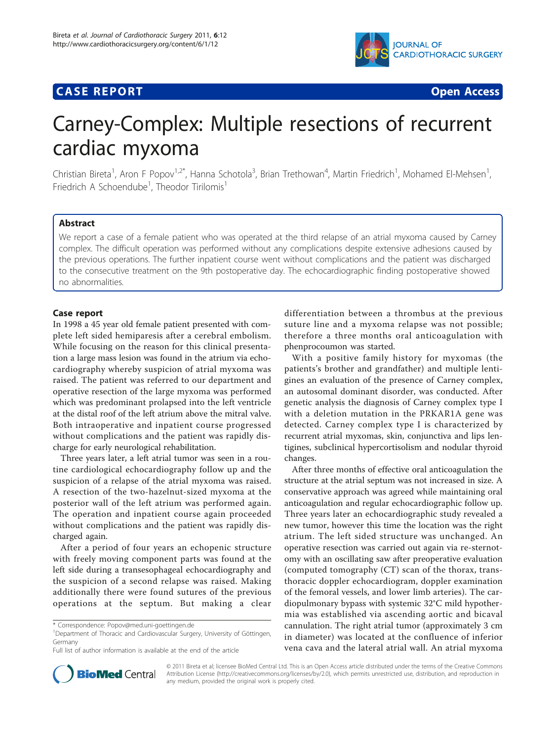

# CA S E R EPOX T OPEN ACCESS TO THE R EPOX THAT THE R EPOX THAT THE R EPOX THAT THE R EPOX THAT THE R EPOX THAT

# Carney-Complex: Multiple resections of recurrent cardiac myxoma

Christian Bireta<sup>1</sup>, Aron F Popov<sup>1,2\*</sup>, Hanna Schotola<sup>3</sup>, Brian Trethowan<sup>4</sup>, Martin Friedrich<sup>1</sup>, Mohamed El-Mehsen<sup>1</sup> , Friedrich A Schoendube<sup>1</sup>, Theodor Tirilomis<sup>1</sup>

we report a case of a female patient who was operated at the third relapse of an atrial myxoma caused by Carney complex. The difficult operation was performed without any complications despite extensive adhesions caused by the previous operations. The further inpatient course went without complications and the patient was discharged to the consecutive treatment on the 9th postoperative day. The echocardiographic finding postoperative showed no abnormalities.

In 1998 a 45 year old female patient presented with complete left sided hemiparesis after a cerebral embolism. While focusing on the reason for this clinical presentation a large mass lesion was found in the atrium via echocardiography whereby suspicion of atrial myxoma was raised. The patient was referred to our department and operative resection of the large myxoma was performed which was predominant prolapsed into the left ventricle at the distal roof of the left atrium above the mitral valve. Both intraoperative and inpatient course progressed without complications and the patient was rapidly discharge for early neurological rehabilitation.

Three years later, a left atrial tumor was seen in a routine cardiological echocardiography follow up and the suspicion of a relapse of the atrial myxoma was raised. A resection of the two-hazelnut-sized myxoma at the posterior wall of the left atrium was performed again. The operation and inpatient course again proceeded without complications and the patient was rapidly discharged again.

After a period of four years an echopenic structure with freely moving component parts was found at the left side during a transesophageal echocardiography and the suspicion of a second relapse was raised. Making additionally there were found sutures of the previous operations at the septum. But making a clear differentiation between a thrombus at the previous suture line and a myxoma relapse was not possible; therefore a three months oral anticoagulation with phenprocoumon was started.

With a positive family history for myxomas (the patients's brother and grandfather) and multiple lentigines an evaluation of the presence of Carney complex, an autosomal dominant disorder, was conducted. After genetic analysis the diagnosis of Carney complex type I with a deletion mutation in the PRKAR1A gene was detected. Carney complex type I is characterized by recurrent atrial myxomas, skin, conjunctiva and lips lentigines, subclinical hypercortisolism and nodular thyroid changes.

After three months of effective oral anticoagulation the structure at the atrial septum was not increased in size. A conservative approach was agreed while maintaining oral anticoagulation and regular echocardiographic follow up. Three years later an echocardiographic study revealed a new tumor, however this time the location was the right atrium. The left sided structure was unchanged. An operative resection was carried out again via re-sternotomy with an oscillating saw after preoperative evaluation (computed tomography (CT) scan of the thorax, transthoracic doppler echocardiogram, doppler examination of the femoral vessels, and lower limb arteries). The cardiopulmonary bypass with systemic 32°C mild hypothermia was established via ascending aortic and bicaval cannulation. The right atrial tumor (approximately 3 cm in diameter) was located at the confluence of inferior vena cava and the lateral atrial wall. An atrial myxoma



© 2011 Bireta et al; licensee BioMed Central Ltd. This is an Open Access article distributed under the terms of the Creative Commons Attribution License [\(http://creativecommons.org/licenses/by/2.0](http://creativecommons.org/licenses/by/2.0)), which permits unrestricted use, distribution, and reproduction in any medium, provided the original work is properly cited.

<sup>\*</sup> Correspondence: [Popov@med.uni-goettingen.de](mailto:Popov@med.uni-goettingen.de)

<sup>&</sup>lt;sup>1</sup>Department of Thoracic and Cardiovascular Surgery, University of Göttingen, Germany

Full list of author information is available at the end of the article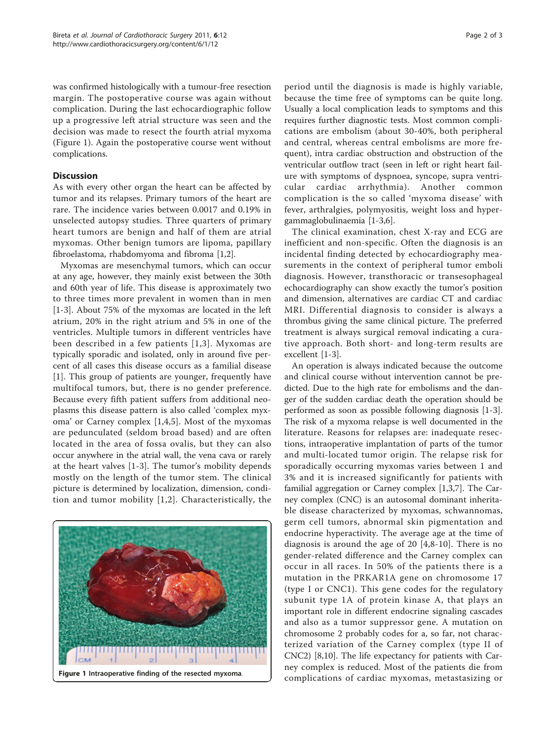was confirmed histologically with a tumour-free resection margin. The postoperative course was again without complication. During the last echocardiographic follow up a progressive left atrial structure was seen and the decision was made to resect the fourth atrial myxoma (Figure 1). Again the postoperative course went without complications.

## **Discussion**

As with every other organ the heart can be affected by tumor and its relapses. Primary tumors of the heart are rare. The incidence varies between 0.0017 and 0.19% in unselected autopsy studies. Three quarters of primary heart tumors are benign and half of them are atrial myxomas. Other benign tumors are lipoma, papillary fibroelastoma, rhabdomyoma and fibroma [\[1,2](#page-2-0)].

Myxomas are mesenchymal tumors, which can occur at any age, however, they mainly exist between the 30th and 60th year of life. This disease is approximately two to three times more prevalent in women than in men [[1-3](#page-2-0)]. About 75% of the myxomas are located in the left atrium, 20% in the right atrium and 5% in one of the ventricles. Multiple tumors in different ventricles have been described in a few patients [[1,3\]](#page-2-0). Myxomas are typically sporadic and isolated, only in around five percent of all cases this disease occurs as a familial disease [[1\]](#page-2-0). This group of patients are younger, frequently have multifocal tumors, but, there is no gender preference. Because every fifth patient suffers from additional neoplasms this disease pattern is also called 'complex myxoma' or Carney complex [\[1,4,5](#page-2-0)]. Most of the myxomas are pedunculated (seldom broad based) and are often located in the area of fossa ovalis, but they can also occur anywhere in the atrial wall, the vena cava or rarely at the heart valves [[1-3](#page-2-0)]. The tumor's mobility depends mostly on the length of the tumor stem. The clinical picture is determined by localization, dimension, condition and tumor mobility [[1](#page-2-0),[2\]](#page-2-0). Characteristically, the



period until the diagnosis is made is highly variable, because the time free of symptoms can be quite long. Usually a local complication leads to symptoms and this requires further diagnostic tests. Most common complications are embolism (about 30-40%, both peripheral and central, whereas central embolisms are more frequent), intra cardiac obstruction and obstruction of the ventricular outflow tract (seen in left or right heart failure with symptoms of dyspnoea, syncope, supra ventricular cardiac arrhythmia). Another common complication is the so called 'myxoma disease' with fever, arthralgies, polymyositis, weight loss and hypergammaglobulinaemia [[1-3,6](#page-2-0)].

The clinical examination, chest X-ray and ECG are inefficient and non-specific. Often the diagnosis is an incidental finding detected by echocardiography measurements in the context of peripheral tumor emboli diagnosis. However, transthoracic or transesophageal echocardiography can show exactly the tumor's position and dimension, alternatives are cardiac CT and cardiac MRI. Differential diagnosis to consider is always a thrombus giving the same clinical picture. The preferred treatment is always surgical removal indicating a curative approach. Both short- and long-term results are excellent [\[1-3](#page-2-0)].

An operation is always indicated because the outcome and clinical course without intervention cannot be predicted. Due to the high rate for embolisms and the danger of the sudden cardiac death the operation should be performed as soon as possible following diagnosis [[1-3](#page-2-0)]. The risk of a myxoma relapse is well documented in the literature. Reasons for relapses are: inadequate resections, intraoperative implantation of parts of the tumor and multi-located tumor origin. The relapse risk for sporadically occurring myxomas varies between 1 and 3% and it is increased significantly for patients with familial aggregation or Carney complex [\[1,3,7](#page-2-0)]. The Carney complex (CNC) is an autosomal dominant inheritable disease characterized by myxomas, schwannomas, germ cell tumors, abnormal skin pigmentation and endocrine hyperactivity. The average age at the time of diagnosis is around the age of 20 [[4,8](#page-2-0)-[10](#page-2-0)]. There is no gender-related difference and the Carney complex can occur in all races. In 50% of the patients there is a mutation in the PRKAR1A gene on chromosome 17 (type I or CNC1). This gene codes for the regulatory subunit type 1A of protein kinase A, that plays an important role in different endocrine signaling cascades and also as a tumor suppressor gene. A mutation on chromosome 2 probably codes for a, so far, not characterized variation of the Carney complex (type II of CNC2) [[8,10\]](#page-2-0). The life expectancy for patients with Carney complex is reduced. Most of the patients die from